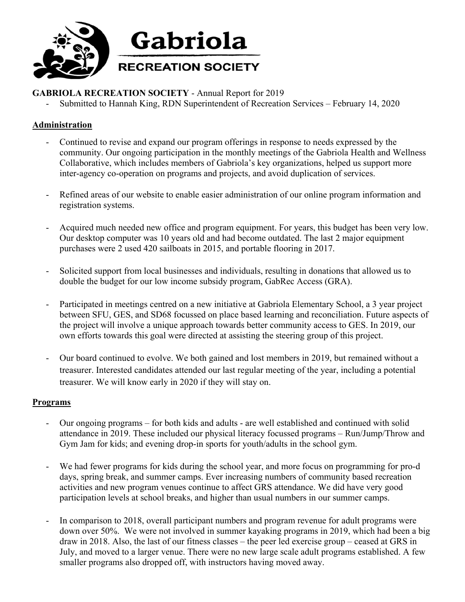

## **GABRIOLA RECREATION SOCIETY** - Annual Report for 2019

Submitted to Hannah King, RDN Superintendent of Recreation Services – February 14, 2020

## **Administration**

- Continued to revise and expand our program offerings in response to needs expressed by the community. Our ongoing participation in the monthly meetings of the Gabriola Health and Wellness Collaborative, which includes members of Gabriola's key organizations, helped us support more inter-agency co-operation on programs and projects, and avoid duplication of services.
- Refined areas of our website to enable easier administration of our online program information and registration systems.
- Acquired much needed new office and program equipment. For years, this budget has been very low. Our desktop computer was 10 years old and had become outdated. The last 2 major equipment purchases were 2 used 420 sailboats in 2015, and portable flooring in 2017.
- Solicited support from local businesses and individuals, resulting in donations that allowed us to double the budget for our low income subsidy program, GabRec Access (GRA).
- Participated in meetings centred on a new initiative at Gabriola Elementary School, a 3 year project between SFU, GES, and SD68 focussed on place based learning and reconciliation. Future aspects of the project will involve a unique approach towards better community access to GES. In 2019, our own efforts towards this goal were directed at assisting the steering group of this project.
- Our board continued to evolve. We both gained and lost members in 2019, but remained without a treasurer. Interested candidates attended our last regular meeting of the year, including a potential treasurer. We will know early in 2020 if they will stay on.

## **Programs**

- Our ongoing programs for both kids and adults are well established and continued with solid attendance in 2019. These included our physical literacy focussed programs – Run/Jump/Throw and Gym Jam for kids; and evening drop-in sports for youth/adults in the school gym.
- We had fewer programs for kids during the school year, and more focus on programming for pro-d days, spring break, and summer camps. Ever increasing numbers of community based recreation activities and new program venues continue to affect GRS attendance. We did have very good participation levels at school breaks, and higher than usual numbers in our summer camps.
- In comparison to 2018, overall participant numbers and program revenue for adult programs were down over 50%. We were not involved in summer kayaking programs in 2019, which had been a big draw in 2018. Also, the last of our fitness classes – the peer led exercise group – ceased at GRS in July, and moved to a larger venue. There were no new large scale adult programs established. A few smaller programs also dropped off, with instructors having moved away.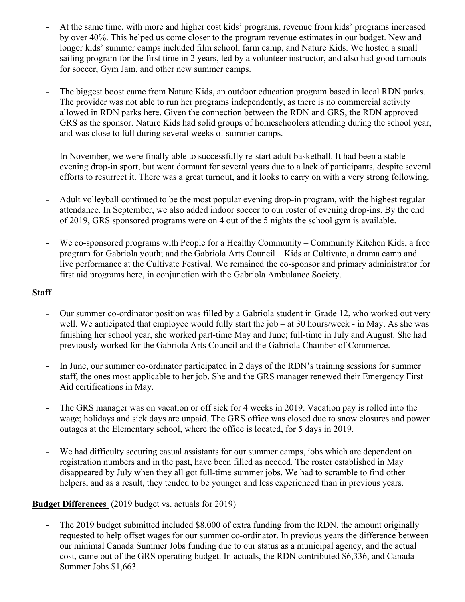- At the same time, with more and higher cost kids' programs, revenue from kids' programs increased by over 40%. This helped us come closer to the program revenue estimates in our budget. New and longer kids' summer camps included film school, farm camp, and Nature Kids. We hosted a small sailing program for the first time in 2 years, led by a volunteer instructor, and also had good turnouts for soccer, Gym Jam, and other new summer camps.
- The biggest boost came from Nature Kids, an outdoor education program based in local RDN parks. The provider was not able to run her programs independently, as there is no commercial activity allowed in RDN parks here. Given the connection between the RDN and GRS, the RDN approved GRS as the sponsor. Nature Kids had solid groups of homeschoolers attending during the school year, and was close to full during several weeks of summer camps.
- In November, we were finally able to successfully re-start adult basketball. It had been a stable evening drop-in sport, but went dormant for several years due to a lack of participants, despite several efforts to resurrect it. There was a great turnout, and it looks to carry on with a very strong following.
- Adult volleyball continued to be the most popular evening drop-in program, with the highest regular attendance. In September, we also added indoor soccer to our roster of evening drop-ins. By the end of 2019, GRS sponsored programs were on 4 out of the 5 nights the school gym is available.
- We co-sponsored programs with People for a Healthy Community Community Kitchen Kids, a free program for Gabriola youth; and the Gabriola Arts Council – Kids at Cultivate, a drama camp and live performance at the Cultivate Festival. We remained the co-sponsor and primary administrator for first aid programs here, in conjunction with the Gabriola Ambulance Society.

## **Staff**

- Our summer co-ordinator position was filled by a Gabriola student in Grade 12, who worked out very well. We anticipated that employee would fully start the job – at 30 hours/week - in May. As she was finishing her school year, she worked part-time May and June; full-time in July and August. She had previously worked for the Gabriola Arts Council and the Gabriola Chamber of Commerce.
- In June, our summer co-ordinator participated in 2 days of the RDN's training sessions for summer staff, the ones most applicable to her job. She and the GRS manager renewed their Emergency First Aid certifications in May.
- The GRS manager was on vacation or off sick for 4 weeks in 2019. Vacation pay is rolled into the wage; holidays and sick days are unpaid. The GRS office was closed due to snow closures and power outages at the Elementary school, where the office is located, for 5 days in 2019.
- We had difficulty securing casual assistants for our summer camps, jobs which are dependent on registration numbers and in the past, have been filled as needed. The roster established in May disappeared by July when they all got full-time summer jobs. We had to scramble to find other helpers, and as a result, they tended to be younger and less experienced than in previous years.

## **Budget Differences** (2019 budget vs. actuals for 2019)

- The 2019 budget submitted included \$8,000 of extra funding from the RDN, the amount originally requested to help offset wages for our summer co-ordinator. In previous years the difference between our minimal Canada Summer Jobs funding due to our status as a municipal agency, and the actual cost, came out of the GRS operating budget. In actuals, the RDN contributed \$6,336, and Canada Summer Jobs \$1,663.